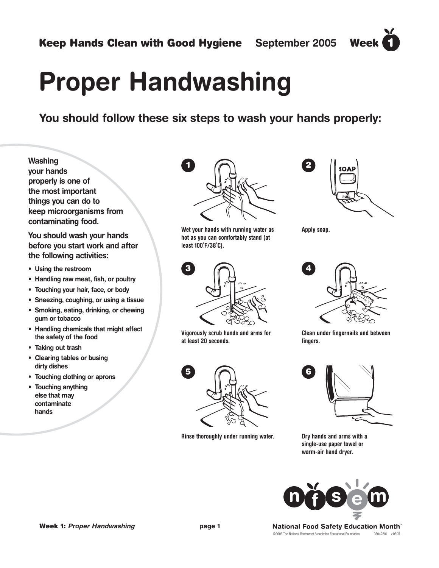# **Proper Handwashing**

**You should follow these six steps to wash your hands properly:**

**Washing your hands properly is one of the most important things you can do to keep microorganisms from contaminating food.**

**You should wash your hands before you start work and after the following activities:**

- **Using the restroom**
- **Handling raw meat, fish, or poultry**
- **Touching your hair, face, or body**
- **Sneezing, coughing, or using a tissue**
- **Smoking, eating, drinking, or chewing gum or tobacco**
- **Handling chemicals that might affect the safety of the food**
- **Taking out trash**
- **Clearing tables or busing dirty dishes**
- **Touching clothing or aprons**
- **Touching anything else that may contaminate hands**



**Wet your hands with running water as hot as you can comfortably stand (at least 100˚F/38˚C).**



**Vigorously scrub hands and arms for at least 20 seconds.**



**Rinse thoroughly under running water.**



 $\blacktriangleleft$ 

**Apply soap.**



**Clean under fingernails and between fingers.**



**Dry hands and arms with a single-use paper towel or warm-air hand dryer.**



©2005 The National Restaurant Association Educational Foundation 05042801 v.0505 National Food Safety Education Month™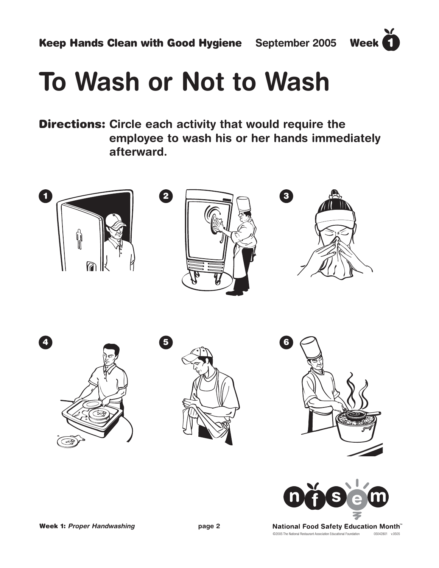$\blacktriangledown$ 

## **To Wash or Not to Wash**

**Directions: Circle each activity that would require the employee to wash his or her hands immediately afterward.** 





©2005 The National Restaurant Association Educational Foundation 05042801 v.0505 National Food Safety Education Month™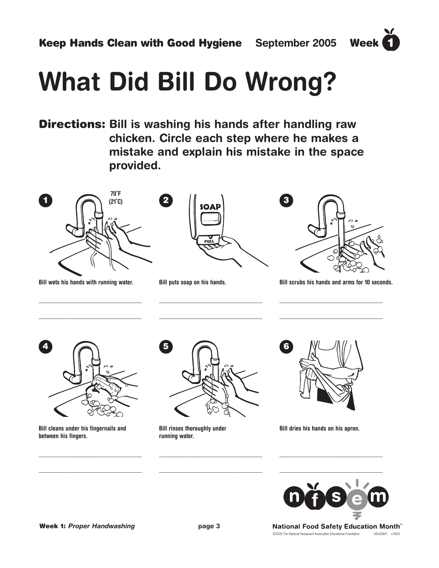# **What Did Bill Do Wrong?**

**Directions: Bill is washing his hands after handling raw chicken. Circle each step where he makes a mistake and explain his mistake in the space provided.** 



**Bill wets his hands with running water.**

\_\_\_\_\_\_\_\_\_\_\_\_\_\_\_\_\_\_\_\_\_\_\_\_\_\_\_\_\_\_\_\_

\_\_\_\_\_\_\_\_\_\_\_\_\_\_\_\_\_\_\_\_\_\_\_\_\_\_\_\_\_\_\_\_



**Bill puts soap on his hands.**



 $\blacktriangledown$  $\blacksquare$ 

**Bill scrubs his hands and arms for 10 seconds.**

\_\_\_\_\_\_\_\_\_\_\_\_\_\_\_\_\_\_\_\_\_\_\_\_\_\_\_\_\_\_\_\_

\_\_\_\_\_\_\_\_\_\_\_\_\_\_\_\_\_\_\_\_\_\_\_\_\_\_\_\_\_\_\_\_



**Bill cleans under his fingernails and between his fingers.**

\_\_\_\_\_\_\_\_\_\_\_\_\_\_\_\_\_\_\_\_\_\_\_\_\_\_\_\_\_\_\_\_

\_\_\_\_\_\_\_\_\_\_\_\_\_\_\_\_\_\_\_\_\_\_\_\_\_\_\_\_\_\_\_\_



\_\_\_\_\_\_\_\_\_\_\_\_\_\_\_\_\_\_\_\_\_\_\_\_\_\_\_\_\_\_\_\_

\_\_\_\_\_\_\_\_\_\_\_\_\_\_\_\_\_\_\_\_\_\_\_\_\_\_\_\_\_\_\_\_

**Bill rinses thoroughly under running water.** 



**Bill dries his hands on his apron.**



\_\_\_\_\_\_\_\_\_\_\_\_\_\_\_\_\_\_\_\_\_\_\_\_\_\_\_\_\_\_\_\_

\_\_\_\_\_\_\_\_\_\_\_\_\_\_\_\_\_\_\_\_\_\_\_\_\_\_\_\_\_\_\_\_

©2005 The National Restaurant Association Educational Foundation 05042801 v.0505 National Food Safety Education Month™

**Week 1:** *Proper Handwashing* **page 3** 

\_\_\_\_\_\_\_\_\_\_\_\_\_\_\_\_\_\_\_\_\_\_\_\_\_\_\_\_\_\_\_\_

\_\_\_\_\_\_\_\_\_\_\_\_\_\_\_\_\_\_\_\_\_\_\_\_\_\_\_\_\_\_\_\_